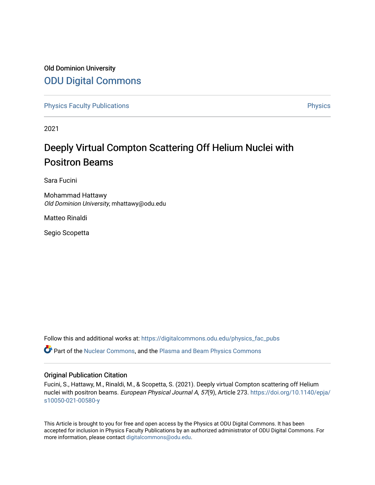## Old Dominion University [ODU Digital Commons](https://digitalcommons.odu.edu/)

[Physics Faculty Publications](https://digitalcommons.odu.edu/physics_fac_pubs) **Physics** [Physics](https://digitalcommons.odu.edu/physics) Physics

2021

# Deeply Virtual Compton Scattering Off Helium Nuclei with Positron Beams

Sara Fucini

Mohammad Hattawy Old Dominion University, mhattawy@odu.edu

Matteo Rinaldi

Segio Scopetta

Follow this and additional works at: [https://digitalcommons.odu.edu/physics\\_fac\\_pubs](https://digitalcommons.odu.edu/physics_fac_pubs?utm_source=digitalcommons.odu.edu%2Fphysics_fac_pubs%2F566&utm_medium=PDF&utm_campaign=PDFCoverPages) 

Part of the [Nuclear Commons](http://network.bepress.com/hgg/discipline/203?utm_source=digitalcommons.odu.edu%2Fphysics_fac_pubs%2F566&utm_medium=PDF&utm_campaign=PDFCoverPages), and the [Plasma and Beam Physics Commons](http://network.bepress.com/hgg/discipline/205?utm_source=digitalcommons.odu.edu%2Fphysics_fac_pubs%2F566&utm_medium=PDF&utm_campaign=PDFCoverPages) 

### Original Publication Citation

Fucini, S., Hattawy, M., Rinaldi, M., & Scopetta, S. (2021). Deeply virtual Compton scattering off Helium nuclei with positron beams. European Physical Journal A, 57(9), Article 273. [https://doi.org/10.1140/epja/](https://doi.org/10.1140/epja/s10050-021-00580-y) [s10050-021-00580-y](https://doi.org/10.1140/epja/s10050-021-00580-y)

This Article is brought to you for free and open access by the Physics at ODU Digital Commons. It has been accepted for inclusion in Physics Faculty Publications by an authorized administrator of ODU Digital Commons. For more information, please contact [digitalcommons@odu.edu.](mailto:digitalcommons@odu.edu)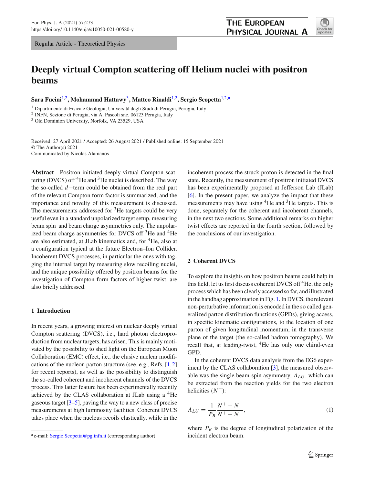Regular Article - Theoretical Physics

## **Deeply virtual Compton scattering off Helium nuclei with positron beams**

**Sara Fucini**[1,2](#page-1-0)**, Mohammad Hattawy**[3](#page-1-1)**, Matteo Rinaldi**[1,2](#page-1-0)**, Sergio Scopetta**[1,2,](#page-1-0)a

<sup>1</sup> Dipartimento di Fisica e Geologia, Università degli Studi di Perugia, Perugia, Italy

<sup>2</sup> INFN, Sezione di Perugia, via A. Pascoli snc, 06123 Perugia, Italy

<sup>3</sup> Old Dominion University, Norfolk, VA 23529, USA

Received: 27 April 2021 / Accepted: 26 August 2021 / Published online: 15 September 2021 © The Author(s) 2021 Communicated by Nicolas Alamanos

**Abstract** Positron initiated deeply virtual Compton scattering (DVCS) of  $\rm{f}$ <sup>4</sup>He and  $\rm{^{3}He}$  nuclei is described. The way the so-called *d*−term could be obtained from the real part of the relevant Compton form factor is summarized, and the importance and novelty of this measurement is discussed. The measurements addressed for  ${}^{3}$ He targets could be very useful even in a standard unpolarized target setup, measuring beam spin and beam charge asymmetries only. The unpolarized beam charge asymmetries for DVCS off  $3$ He and  $4$ He are also estimated, at JLab kinematics and, for <sup>4</sup>He, also at a configuration typical at the future Electron–Ion Collider. Incoherent DVCS processes, in particular the ones with tagging the internal target by measuring slow recoiling nuclei, and the unique possibility offered by positron beams for the investigation of Compton form factors of higher twist, are also briefly addressed.

#### **1 Introduction**

In recent years, a growing interest on nuclear deeply virtual Compton scattering (DVCS), i.e., hard photon electroproduction from nuclear targets, has arisen. This is mainly motivated by the possibility to shed light on the European Muon Collaboration (EMC) effect, i.e., the elusive nuclear modifications of the nucleon parton structure (see, e.g., Refs. [\[1,](#page-7-0)[2\]](#page-7-1) for recent reports), as well as the possibility to distinguish the so-called coherent and incoherent channels of the DVCS process. This latter feature has been experimentally recently achieved by the CLAS collaboration at JLab using a 4He gaseous target  $[3-5]$  $[3-5]$ , paving the way to a new class of precise measurements at high luminosity facilities. Coherent DVCS takes place when the nucleus recoils elastically, while in the <span id="page-1-1"></span><span id="page-1-0"></span>incoherent process the struck proton is detected in the final state. Recently, the measurement of positron initiated DVCS has been experimentally proposed at Jefferson Lab (JLab) [\[6](#page-7-4)]. In the present paper, we analyze the impact that these measurements may have using  ${}^{4}$ He and  ${}^{3}$ He targets. This is done, separately for the coherent and incoherent channels, in the next two sections. Some additional remarks on higher twist effects are reported in the fourth section, followed by the conclusions of our investigation.

#### **2 Coherent DVCS**

To explore the insights on how positron beams could help in this field, let us first discuss coherent DVCS off<sup>4</sup>He, the only process which has been clearly accessed so far, and illustrated in the handbag approximation in Fig. [1.](#page-2-0) In DVCS, the relevant non-perturbative information is encoded in the so called generalized parton distribution functions (GPDs), giving access, in specific kinematic configurations, to the location of one parton of given longitudinal momentum, in the transverse plane of the target (the so-called hadron tomography). We recall that, at leading-twist, <sup>4</sup>He has only one chiral-even GPD.

In the coherent DVCS data analysis from the EG6 exper-iment by the CLAS collaboration [\[3](#page-7-2)], the measured observable was the single beam-spin asymmetry, *ALU* , which can be extracted from the reaction yields for the two electron helicities  $(N^{\pm})$ :

$$
A_{LU} = \frac{1}{P_B} \frac{N^+ - N^-}{N^+ + N^-},\tag{1}
$$

where  $P_B$  is the degree of longitudinal polarization of the incident electron beam.



<sup>a</sup> e-mail: [Sergio.Scopetta@pg.infn.it](mailto:Sergio.Scopetta@pg.infn.it) (corresponding author)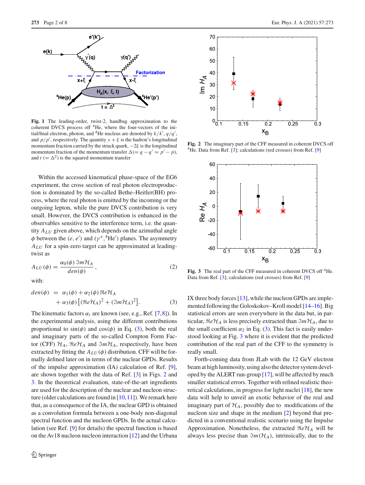

<span id="page-2-0"></span>**Fig. 1** The leading-order, twist-2, handbag approximation to the coherent DVCS process off  ${}^{4}$ He, where the four-vectors of the initial/final electron, photon, and <sup>4</sup>He nucleus are denoted by  $k/k'$ ,  $q/q'$ , and  $p/p'$ , respectively. The quantity  $x + \xi$  is the hadron's longitudinal momentum fraction carried by the struck quark,  $-2\xi$  is the longitudinal momentum fraction of the momentum transfer  $\Delta (= q - q' = p' - p)$ , and  $t (= \Delta^2)$  is the squared momentum transfer

Within the accessed kinematical phase-space of the EG6 experiment, the cross section of real photon electroproduction is dominated by the so-called Bethe–Heitler(BH) process, where the real photon is emitted by the incoming or the outgoing lepton, while the pure DVCS contribution is very small. However, the DVCS contribution is enhanced in the observables sensitive to the interference term, i.e. the quantity *ALU* given above, which depends on the azimuthal angle  $\phi$  between the  $(e, e')$  and  $(\gamma^*, {^4\text{He'}})$  planes. The asymmetry *ALU* for a spin-zero target can be approximated at leadingtwist as

<span id="page-2-4"></span>
$$
A_{LU}(\phi) = \frac{\alpha_0(\phi) \mathfrak{Im} \mathcal{H}_A}{den(\phi)},
$$
\n(2)

with:

<span id="page-2-1"></span>
$$
den(\phi) = \alpha_1(\phi) + \alpha_2(\phi) \Re^2 H_A
$$
  
+  $\alpha_3(\phi) \left[ (\Re^2 H_A)^2 + (\Im^2 H_A)^2 \right].$  (3)

The kinematic factors  $\alpha_i$  are known (see, e.g., Ref. [\[7](#page-7-5),[8\]](#page-7-6)). In the experimental analysis, using the different contributions proportional to  $sin(\phi)$  and  $cos(\phi)$  in Eq. [\(3\)](#page-2-1), both the real and imaginary parts of the so-called Compton Form Factor (CFF)  $H_A$ ,  $\Re eH_A$  and  $\Im mH_A$ , respectively, have been extracted by fitting the  $A_{LU}(\phi)$  distribution. CFF will be formally defined later on in terms of the nuclear GPDs. Results of the impulse approximation (IA) calculation of Ref. [\[9](#page-7-7)], are shown together with the data of Ref. [\[3\]](#page-7-2) in Figs. [2](#page-2-2) and [3.](#page-2-3) In the theoretical evaluation, state-of-the-art ingredients are used for the description of the nuclear and nucleon structure (older calculations are found in  $[10,11]$  $[10,11]$ ). We remark here that, as a consequence of the IA, the nuclear GPD is obtained as a convolution formula between a one-body non-diagonal spectral function and the nucleon GPDs. In the actual calculation (see Ref. [\[9](#page-7-7)] for details) the spectral function is based on the Av18 nucleon nucleon interaction [\[12](#page-7-10)] and the Urbana



**Fig. 2** The imaginary part of the CFF measured in coherent DVCS off <sup>4</sup>He. Data from Ref. [\[3](#page-7-2)]; calculations (red crosses) from Ref. [\[9](#page-7-7)]

<span id="page-2-2"></span>

<span id="page-2-3"></span>Fig. 3 The real part of the CFF measured in coherent DVCS off <sup>4</sup>He. Data from Ref. [\[3](#page-7-2)]; calculations (red crosses) from Ref. [\[9](#page-7-7)]

IX three body forces [\[13\]](#page-7-11), while the nucleon GPDs are implemented following the Goloskokov–Kroll model [\[14](#page-7-12)[–16](#page-7-13)]. Big statistical errors are seen everywhere in the data but, in particular,  $\Re$ e $\mathcal{H}_A$  is less precisely extracted than  $\Im$ *m* $\mathcal{H}_A$ , due to the small coefficient  $\alpha_2$  in Eq. [\(3\)](#page-2-1). This fact is easily understood looking at Fig. [3](#page-2-3) where it is evident that the predicted contribution of the real part of the CFF to the symmetry is really small.

Forth-coming data from JLab with the 12 GeV electron beam at high luminosity, using also the detector system developed by the ALERT run-group [\[17\]](#page-7-14), will be affected by much smaller statistical errors. Together with refined realistic theoretical calculations, in progress for light nuclei [\[18\]](#page-7-15), the new data will help to unveil an exotic behavior of the real and imaginary part of  $H_A$ , possibly due to modifications of the nucleon size and shape in the medium [\[2\]](#page-7-1) beyond that predicted in a conventional realistic scenario using the Impulse Approximation. Nonetheless, the extracted  $ReA$ <sup>*A*</sup>*A* will be always less precise than  $\Im m(\mathcal{H}_A)$ , intrinsically, due to the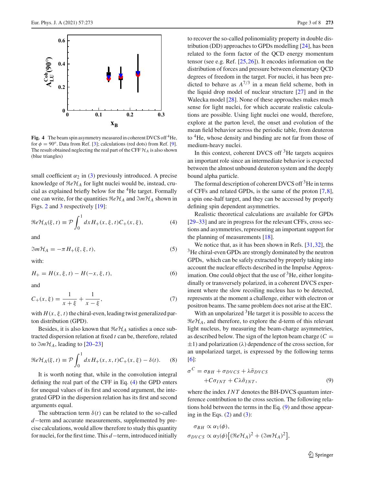

Fig. 4 The beam spin asymmetry measured in coherent DVCS off<sup>4</sup>He, for  $\phi = 90^\circ$ . Data from Ref. [\[3](#page-7-2)]; calculations (red dots) from Ref. [\[9](#page-7-7)]. The result obtained neglecting the real part of the CFF  $\mathcal{H}_A$  is also shown (blue triangles)

small coefficient  $\alpha_2$  in [\(3\)](#page-2-1) previously introduced. A precise knowledge of  $ReH_A$  for light nuclei would be, instead, crucial as explained briefly below for the 4He target. Formally one can write, for the quantities  $\Re$ e $\mathcal{H}_A$  and  $\Im$ *m* $\mathcal{H}_A$  shown in Figs. [2](#page-2-2) and [3](#page-2-3) respectively [\[19\]](#page-7-16):

<span id="page-3-0"></span>
$$
\Re e \mathcal{H}_A(\xi, t) \equiv \mathcal{P} \int_0^1 dx H_+(x, \xi, t) C_+(x, \xi), \tag{4}
$$

and

$$
\mathfrak{S}m\mathcal{H}_A = -\pi H_+(\xi, \xi, t),\tag{5}
$$

with:

$$
H_{+} = H(x, \xi, t) - H(-x, \xi, t),
$$
\n(6)

and

$$
C_{+}(x,\xi) = \frac{1}{x+\xi} + \frac{1}{x-\xi},
$$
\n(7)

with  $H(x, \xi, t)$  the chiral-even, leading twist generalized parton distribution (GPD).

Besides, it is also known that  $\Re$ e $\mathcal{H}_A$  satisfies a once subtracted dispersion relation at fixed *t* can be, therefore, related to  $\Im m\mathcal{H}_A$ , leading to [\[20](#page-7-17)[–23](#page-7-18)]

$$
\Re e \mathcal{H}_A(\xi, t) \equiv \mathcal{P} \int_0^1 dx H_+(x, x, t) C_+(x, \xi) - \delta(t). \tag{8}
$$

It is worth noting that, while in the convolution integral defining the real part of the CFF in Eq. [\(4\)](#page-3-0) the GPD enters for unequal values of its first and second argument, the integrated GPD in the dispersion relation has its first and second arguments equal.

The subtraction term  $\delta(t)$  can be related to the so-called *d*−term and accurate measurements, supplemented by precise calculations, would allow therefore to study this quantity for nuclei, for the first time. This *d*−term, introduced initially

to recover the so-called polinomiality property in double distribution (DD) approaches to GPDs modelling [\[24\]](#page-7-19), has been related to the form factor of the QCD energy momentum tensor (see e.g. Ref. [\[25,](#page-8-0)[26\]](#page-8-1)). It encodes information on the distribution of forces and pressure between elementary QCD degrees of freedom in the target. For nuclei, it has been predicted to behave as  $A^{7/3}$  in a mean field scheme, both in the liquid drop model of nuclear structure  $[27]$  and in the Walecka model [\[28\]](#page-8-3). None of these approaches makes much sense for light nuclei, for which accurate realistic calculations are possible. Using light nuclei one would, therefore, explore at the parton level, the onset and evolution of the mean field behavior across the periodic table, from deuteron to 4He, whose density and binding are not far from those of medium-heavy nuclei.

In this context, coherent DVCS off 3He targets acquires an important role since an intermediate behavior is expected between the almost unbound deuteron system and the deeply bound alpha particle.

The formal description of coherent DVCS off<sup>3</sup>He in terms of CFFs and related GPDs, is the same of the proton [\[7](#page-7-5)[,8](#page-7-6)], a spin one-half target, and they can be accessed by properly defining spin dependent asymmetries.

Realistic theoretical calculations are available for GPDs [\[29](#page-8-4)[–33](#page-8-5)] and are in progress for the relevant CFFs, cross sections and asymmetries, representing an important support for the planning of measurements [\[18\]](#page-7-15).

We notice that, as it has been shown in Refs. [\[31,](#page-8-6)[32\]](#page-8-7), the <sup>3</sup>He chiral-even GPDs are strongly dominated by the neutron GPDs, which can be safely extracted by properly taking into account the nuclear effects described in the Impulse Approximation. One could object that the use of  ${}^{3}$ He, either longitudinally or transversely polarized, in a coherent DVCS experiment where the slow recoiling nucleus has to be detected, represents at the moment a challenge, either with electron or positron beams. The same problem does not arise at the EIC.

With an unpolarized  $3$ He target it is possible to access the  $\Re$ *e* $\mathcal{H}_A$ , and therefore, to explore the d-term of this relevant light nucleus, by measuring the beam-charge asymmetries, as described below. The sign of the lepton beam charge  $(C =$  $\pm$ 1) and polarization ( $\lambda$ ) dependence of the cross section, for an unpolarized target, is expressed by the following terms [\[6](#page-7-4)]:

<span id="page-3-1"></span>
$$
\sigma^C = \sigma_{BH} + \sigma_{DVCS} + \lambda \tilde{\sigma}_{DVCS} + C\sigma_{INT} + C\lambda \tilde{\sigma}_{INT},
$$
\n(9)

where the index *INT* denotes the BH-DVCS quantum interference contribution to the cross section. The following relations hold between the terms in the Eq. [\(9\)](#page-3-1) and those appearing in the Eqs.  $(2)$  and  $(3)$ :

$$
\sigma_{BH} \propto \alpha_1(\phi),
$$
  
\n
$$
\sigma_{DVCS} \propto \alpha_3(\phi) \left[ (\Re e \mathcal{H}_A)^2 + (\Im m \mathcal{H}_A)^2 \right],
$$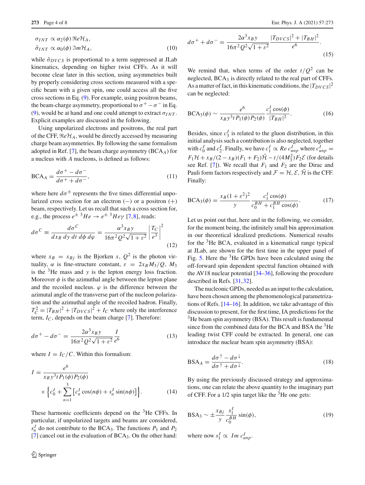$$
\sigma_{INT} \propto \alpha_2(\phi) \Re\ell \mathcal{H}_A, \n\tilde{\sigma}_{INT} \propto \alpha_0(\phi) \Im\ell \mathcal{H}_A,
$$
\n(10)

while  $\tilde{\sigma}_{DVCS}$  is proportional to a term suppressed at JLab kinematics, depending on higher twist CFFs. As it will become clear later in this section, using asymmetries built by properly considering cross sections measured with a specific beam with a given spin, one could access all the five cross sections in Eq. [\(9\)](#page-3-1). For example, using positron beams, the beam-charge asymmetry, proportional to  $\sigma^+ - \sigma^-$  in Eq. [\(9\)](#page-3-1), would be at hand and one could attempt to extract  $\sigma_{INT}$ . Explicit examples are discussed in the following.

Using unpolarized electrons and positrons, the real part of the CFF,  $\Re e\mathcal{H}_A$ , would be directly accessed by measuring charge beam asymmetries. By following the same formalism adopted in Ref. [\[7\]](#page-7-5), the beam charge asymmetry (BCA*A*) for a nucleus with *A* nucleons, is defined as follows:

$$
BCA_A = \frac{d\sigma^+ - d\sigma^-}{d\sigma^+ + d\sigma^-},\tag{11}
$$

where here  $d\sigma^{\pm}$  represents the five times differential unpolarized cross section for an electron  $(-)$  or a positron  $(+)$ beam, respectively. Let us recall that such a cross section for, e.g., the process  $e^{\pm 3}He \rightarrow e^{\pm 3}He\gamma$  [\[7](#page-7-5)[,8](#page-7-6)], reads:

$$
d\sigma^C \equiv \frac{d\sigma^C}{dx_B \, dy \, dt \, d\phi \, d\varphi} = \frac{\alpha^3 x_B y}{16\pi^2 Q^2 \sqrt{1 + \varepsilon^2}} \left| \frac{T_C}{e^3} \right|^2 \tag{12}
$$

where  $x_B = x_{Bj}$  is the Bjorken *x*,  $Q^2$  is the photon virtuality,  $\alpha$  is fine-structure constant,  $\varepsilon = 2x_B M_3/Q$ ,  $M_3$ is the  $3$ He mass and *y* is the lepton energy loss fraction. Moreover  $\phi$  is the azimuthal angle between the lepton plane and the recoiled nucleus.  $\varphi$  is the difference between the azimutal angle of the transverse part of the nucleon polarization and the azimuthal angle of the recoiled hadron. Finally,  $T_C^2 = |T_{BH}|^2 + |T_{DVCS}|^2 + I_C$  where only the interference term,  $I_C$ , depends on the beam charge [\[7](#page-7-5)]. Therefore:

$$
d\sigma^+ - d\sigma^- = \frac{2\alpha^3 x_B y}{16\pi^2 Q^2 \sqrt{1 + \varepsilon^2}} \frac{I}{e^6}
$$
 (13)

where  $I = I_C/C$ . Within this formalism:

$$
I = \frac{e^6}{x_B y^3 t P_1(\phi) P_2(\phi)}
$$
  
 
$$
\times \left\{ c_0^I + \sum_{n=1}^3 \left[ c_n^I \cos(n\phi) + s_n^I \sin(n\phi) \right] \right\}.
$$
 (14)

These harmonic coefficients depend on the  ${}^{3}$ He CFFs. In particular, if unpolarized targets and beams are considered,  $s_n^I$  do not contribute to the BCA<sub>3</sub>. The functions  $P_1$  and  $P_2$ [\[7](#page-7-5)] cancel out in the evaluation of BCA<sub>3</sub>. On the other hand:

$$
d\sigma^{+} + d\sigma^{-} = \frac{2\alpha^{3}x_{B}y}{16\pi^{2}Q^{2}\sqrt{1+\varepsilon^{2}}} \frac{|T_{DVCS}|^{2} + |T_{BH}|^{2}}{e^{6}}.
$$
\n(15)

We remind that, when terms of the order  $t/Q^2$  can be neglected, BCA3 is directly related to the real part of CFFs. As a matter of fact, in this kinematic conditions, the  $|T_{DVCS}|^2$ can be neglected:

BCA<sub>3</sub>(
$$
\phi
$$
) ~  $\frac{e^6}{x_B y^3 t P_1(\phi) P_2(\phi)} \frac{c_1^I \cos(\phi)}{|T_{BH}|^2}$ . (16)

Besides, since  $c_3^I$  is related to the gluon distribution, in this initial analysis such a contribution is also neglected, together with  $c_0^I$  and  $c_2^I$ . Finally, we have  $c_1^I \propto Re \ c_{unp}^I$  where  $c_{unp}^I$  =  $F_1\mathcal{H} + x_B/(2 - x_B)(F_1 + F_2)\tilde{\mathcal{H}} - t/(4M_3^2)F_2\mathcal{E}$  (for details see Ref. [\[7](#page-7-5)]). We recall that  $F_1$  and  $F_2$  are the Dirac and Pauli form factors respectively and  $\mathcal{F} = \mathcal{H}, \mathcal{E}, \tilde{\mathcal{H}}$  is the CFF. Finally:

<span id="page-4-0"></span>
$$
BCA_3(\phi) = \frac{x_B(1+\varepsilon^2)^2}{y} \frac{c_1^I \cos(\phi)}{c_0^{BH} + c_1^{BH} \cos(\phi)}.
$$
 (17)

Let us point out that, here and in the following, we consider, for the moment being, the infinitely small bin approximation in our theoretical idealized predictions. Numerical results for the  ${}^{3}$ He BCA, evaluated in a kinematical range typical at JLab, are shown for the first time in the upper panel of Fig. [5.](#page-5-0) Here the  ${}^{3}$ He GPDs have been calculated using the off-forward spin dependent spectral function obtained with the AV18 nuclear potential [\[34](#page-8-8)[–36\]](#page-8-9), following the procedure described in Refs. [\[31,](#page-8-6)[32\]](#page-8-7).

The nucleonic GPDs, needed as an input to the calculation, have been chosen among the phenomenological parametrizations of Refs. [\[14](#page-7-12)[–16](#page-7-13)]. In addition, we take advantage of this discussion to present, for the first time, IA predictions for the <sup>3</sup>He beam spin asymmetry (BSA). This result is fundamental since from the combined data for the BCA and BSA the <sup>3</sup>He leading twist CFF could be extracted. In general, one can introduce the nuclear beam spin asymmetry (BSA):

$$
BSA_A = \frac{d\sigma^{\uparrow} - d\sigma^{\downarrow}}{d\sigma^{\uparrow} + d\sigma^{\downarrow}}.
$$
\n(18)

By using the previously discussed strategy and approximations, one can relate the above quantity to the imaginary part of CFF. For a  $1/2$  spin target like the  ${}^{3}$ He one gets:

<span id="page-4-1"></span>
$$
\text{BSA}_3 \sim \pm \frac{x_{Bj}}{y} \frac{s_1^I}{c_0^{BH}} \sin(\phi),\tag{19}
$$

where now  $s_1^I \propto Im c_{unp}^I$ .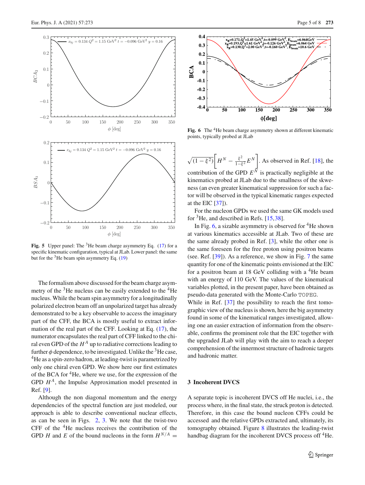

<span id="page-5-0"></span>**Fig. 5** Upper panel: The <sup>3</sup>He beam charge asymmetry Eq. [\(17\)](#page-4-0) for a specific kinematic configuration, typical at JLab. Lower panel: the same but for the  $3$ He beam spin asymmetry Eq. [\(19\)](#page-4-1)

The formalism above discussed for the beam charge asymmetry of the  ${}^{3}$ He nucleus can be easily extended to the  ${}^{4}$ He nucleus. While the beam spin asymmetry for a longitudinally polarized electron beam off an unpolarized target has already demonstrated to be a key observable to access the imaginary part of the CFF, the BCA is mostly useful to extract information of the real part of the CFF. Looking at Eq. [\(17\)](#page-4-0), the numerator encapsulates the real part of CFF linked to the chiral even GPD of the  $H^A$  up to radiative corrections leading to further  $\phi$  dependence, to be investigated. Unlike the <sup>3</sup>He case, <sup>4</sup>He as a spin-zero hadron, at leading-twist is parametrized by only one chiral even GPD. We show here our first estimates of the BCA for  ${}^{4}$ He, where we use, for the expression of the GPD  $H^A$ , the Impulse Approximation model presented in Ref. [\[9\]](#page-7-7).

Although the non diagonal momentum and the energy dependencies of the spectral function are just modeled, our approach is able to describe conventional nuclear effects, as can be seen in Figs. [2,](#page-2-2) [3.](#page-2-3) We note that the twist-two CFF of the 4He nucleus receives the contribution of the GPD *H* and *E* of the bound nucleons in the form  $H^{N/A}$  =



<span id="page-5-1"></span>Fig. 6 The <sup>4</sup>He beam charge asymmetry shown at different kinematic points, typically probed at JLab

 $\sqrt{(1-\xi^2)}\left[H^N - \frac{\xi^2}{1-\xi^2}E^N\right]$ . As observed in Ref. [\[18\]](#page-7-15), the contribution of the GPD  $E^{\overline{N}}$  is practically negligible at the kinematics probed at JLab due to the smallness of the skweness (an even greater kinematical suppression for such a factor will be observed in the typical kinematic ranges expected at the EIC [\[37](#page-8-10)]).

For the nucleon GPDs we used the same GK models used for <sup>3</sup>He, and described in Refs. [\[15](#page-7-20),[38\]](#page-8-11).

In Fig.  $6$ , a sizable asymmetry is observed for  ${}^{4}$ He shown at various kinematics accessible at JLab. Two of these are the same already probed in Ref. [\[3](#page-7-2)], while the other one is the same foreseen for the free proton using positron beams (see. Ref. [\[39](#page-8-12)]). As a reference, we show in Fig. [7](#page-6-0) the same quantity for one of the kinematic points envisioned at the EIC for a positron beam at 18 GeV colliding with a  $4$ He beam with an energy of 110 GeV. The values of the kinematical variables plotted, in the present paper, have been obtained as pseudo-data generated with the Monte-Carlo TOPEG.

While in Ref. [\[37\]](#page-8-10) the possibility to reach the first tomographic view of the nucleus is shown, here the big asymmetry found in some of the kinematical ranges investigated, allowing one an easier extraction of information from the observable, confirms the prominent role that the EIC together with the upgraded JLab will play with the aim to reach a deeper comprehension of the innermost structure of hadronic targets and hadronic matter.

#### **3 Incoherent DVCS**

A separate topic is incoherent DVCS off He nuclei, i.e., the process where, in the final state, the struck proton is detected. Therefore, in this case the bound nucleon CFFs could be accessed and the relative GPDs extracted and, ultimately, its tomography obtained. Figure [8](#page-6-1) illustrates the leading-twist handbag diagram for the incoherent DVCS process of <sup>4</sup>He.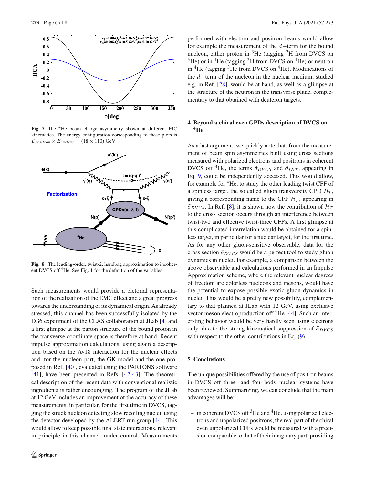

<span id="page-6-0"></span>Fig. 7 The <sup>4</sup>He beam charge asymmetry shown at different EIC kinematics. The energy configuration corresponding to these plots is  $E_{position} \times E_{nucleus} = (18 \times 110) \text{ GeV}$ 



<span id="page-6-1"></span>**Fig. 8** The leading-order, twist-2, handbag approximation to incoherent DVCS off 4He. See Fig. [1](#page-2-0) for the definition of the variables

Such measurements would provide a pictorial representation of the realization of the EMC effect and a great progress towards the understanding of its dynamical origin. As already stressed, this channel has been successfully isolated by the EG6 experiment of the CLAS collaboration at JLab [\[4\]](#page-7-21) and a first glimpse at the parton structure of the bound proton in the transverse coordinate space is therefore at hand. Recent impulse approximation calculations, using again a description based on the Av18 interaction for the nuclear effects and, for the nucleon part, the GK model and the one proposed in Ref. [\[40](#page-8-13)], evaluated using the PARTONS software [\[41](#page-8-14)], have been presented in Refs. [\[42](#page-8-15),[43\]](#page-8-16). The theoretical description of the recent data with conventional realistic ingredients is rather encouraging. The program of the JLab at 12 GeV includes an improvement of the accuracy of these measurements, in particular, for the first time in DVCS, tagging the struck nucleon detecting slow recoiling nuclei, using the detector developed by the ALERT run group [\[44\]](#page-8-17). This would allow to keep possible final state interactions, relevant in principle in this channel, under control. Measurements performed with electron and positron beams would allow for example the measurement of the *d*−term for the bound nucleon, either proton in  ${}^{3}$ He (tagging  ${}^{2}$ H from DVCS on  $3$ He) or in <sup>4</sup>He (tagging  $3$ H from DVCS on <sup>4</sup>He) or neutron in  ${}^{4}$ He (tagging  ${}^{3}$ He from DVCS on  ${}^{4}$ He). Modifications of the *d*−term of the nucleon in the nuclear medium, studied e.g. in Ref. [\[28\]](#page-8-3), would be at hand, as well as a glimpse at the structure of the neutron in the transverse plane, complementary to that obtained with deuteron targets.

#### **4 Beyond a chiral even GPDs description of DVCS on 4He**

As a last argument, we quickly note that, from the measurement of beam spin asymmetries built using cross sections measured with polarized electrons and positrons in coherent DVCS off <sup>4</sup>He, the terms  $\tilde{\sigma}_{DVCS}$  and  $\tilde{\sigma}_{INT}$ , appearing in Eq. [9,](#page-3-1) could be independently accessed. This would allow, for example for 4He, to study the other leading twist CFF of a spinless target, the so called gluon transversity GPD  $H_T$ , giving a corresponding name to the CFF  $\mathcal{H}_T$ , appearing in  $\tilde{\sigma}_{DVCS}$ . In Ref. [\[8\]](#page-7-6), it is shown how the contribution of  $\mathcal{H}_T$ to the cross section occurs through an interference between twist-two and effective twist-three CFFs. A first glimpse at this complicated interrelation would be obtained for a spinless target, in particular for a nuclear target, for the first time. As for any other gluon-sensitive observable, data for the cross section  $\tilde{\sigma}_{DVCS}$  would be a perfect tool to study gluon dynamics in nuclei. For example, a comparison between the above observable and calculations performed in an Impulse Approximation scheme, where the relevant nuclear degrees of freedom are colorless nucleons and mesons, would have the potential to expose possible exotic gluon dynamics in nuclei. This would be a pretty new possibility, complementary to that planned at JLab with 12 GeV, using exclusive vector meson electroproduction off 4He [\[44](#page-8-17)]. Such an interersting behavior would be very hardly seen using electrons only, due to the strong kinematical suppression of  $\tilde{\sigma}_{DVCS}$ with respect to the other contributions in Eq.  $(9)$ .

#### **5 Conclusions**

The unique possibilities offered by the use of positron beams in DVCS off three- and four-body nuclear systems have been reviewed. Summarizing, we can conclude that the main advantages will be:

– in coherent DVCS off  ${}^{3}$ He and  ${}^{4}$ He, using polarized electrons and unpolarized positrons, the real part of the chiral even unpolarized CFFs would be measured with a precision comparable to that of their imaginary part, providing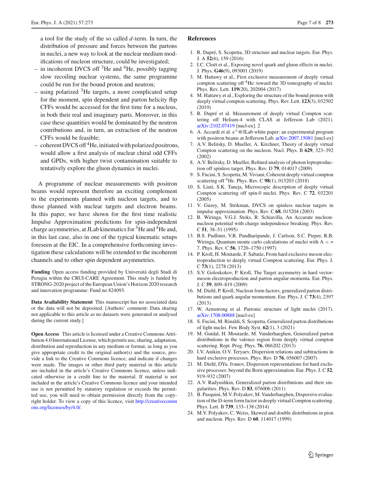a tool for the study of the so called *d*-term. In turn, the distribution of pressure and forces between the partons in nuclei, a new way to look at the nuclear medium modifications of nucleon structure, could be investigated;

- in incoherent DVCS off  ${}^{3}$ He and  ${}^{4}$ He, possibly tagging slow recoiling nuclear systems, the same programme could be run for the bound proton and neutron;
- $-$  using polarized  ${}^{3}$ He targets, a more complicated setup for the moment, spin dependent and parton helicity flip CFFs would be accessed for the first time for a nucleus, in both their real and imaginary parts. Moreover, in this case these quantities would be dominated by the neutron contributions and, in turn, an extraction of the neutron CFFs would be feasible;
- coherent DVCS of  $A^4$ He, initiated with polarized positrons, would allow a first analysis of nuclear chiral odd CFFs and GPDs, with higher twist contamination suitable to tentatively explore the gluon dynamics in nuclei.

A programme of nuclear measurements with positron beams would represent therefore an exciting complement to the experiments planned with nucleon targets, and to those planned with nuclear targets and electron beams. In this paper, we have shown for the first time realistic Impulse Approximation predictions for spin-independent charge asymmetries, at JLab kinematics for  ${}^{3}$ He and  ${}^{4}$ He and, in this last case, also in one of the typical kinematic setups foreseen at the EIC. In a comprehensive forthcoming investigation these calculations will be extended to the incoherent channels and to other spin dependent asymmetries.

**Funding** Open access funding provided by Universitá degli Studi di Perugia within the CRUI-CARE Agreement. This study is funded by STRONG-2020 project of the European Union's Horizon 2020 research and innovation programme: Fund no 824093.

**Data Availability Statement** This manuscript has no associated data or the data will not be deposited. [Authors' comment: Data sharing not applicable to this article as no datasets were generated or analysed during the current study.]

**Open Access** This article is licensed under a Creative Commons Attribution 4.0 International License, which permits use, sharing, adaptation, distribution and reproduction in any medium or format, as long as you give appropriate credit to the original author(s) and the source, provide a link to the Creative Commons licence, and indicate if changes were made. The images or other third party material in this article are included in the article's Creative Commons licence, unless indicated otherwise in a credit line to the material. If material is not included in the article's Creative Commons licence and your intended use is not permitted by statutory regulation or exceeds the permitted use, you will need to obtain permission directly from the copyright holder. To view a copy of this licence, visit [http://creativecomm](http://creativecommons.org/licenses/by/4.0/) [ons.org/licenses/by/4.0/.](http://creativecommons.org/licenses/by/4.0/)

#### **References**

- <span id="page-7-1"></span><span id="page-7-0"></span>2. I.C. Cloët et al., Exposing novel quark and gluon effects in nuclei. J. Phys. **G46**(9), 093001 (2019)
- <span id="page-7-2"></span>3. M. Hattawy et al., First exclusive measurement of deeply virtual compton scattering off 4He: toward the 3D tomography of nuclei. Phys. Rev. Lett. **119**(20), 202004 (2017)
- <span id="page-7-21"></span>4. M. Hattawy et al., Exploring the structure of the bound proton with deeply virtual compton scattering. Phys. Rev. Lett. **123**(3), 032502 (2019)
- <span id="page-7-3"></span>5. R. Dupré et al. Measurement of deeply virtual Compton scattering off Helium-4 with CLAS at Jefferson Lab (2021). [arXiv:2102.07419](http://arxiv.org/abs/2102.07419) [nucl-ex]. 2
- <span id="page-7-4"></span>6. A. Accardi et al.  $e^+$  @JLab white paper: an experimental program with positron beams at Jefferson Lab.  $arXiv:2007.15081$  [nucl-ex]
- <span id="page-7-5"></span>7. A.V. Belitsky, D. Mueller, A. Kirchner, Theory of deeply virtual Compton scattering on the nucleon. Nucl. Phys. B **629**, 323–392 (2002)
- <span id="page-7-6"></span>8. A.V. Belitsky, D. Mueller, Refined analysis of photon leptoproduction off spinless target. Phys. Rev. D **79**, 014017 (2009)
- <span id="page-7-7"></span>9. S. Fucini, S. Scopetta, M. Viviani, Coherent deeply virtual compton scattering off 4He. Phys. Rev. C **98**(1), 015203 (2018)
- <span id="page-7-8"></span>10. S. Liuti, S.K. Taneja, Microscopic description of deeply virtual Compton scattering off spin-0 nuclei. Phys. Rev. C **72**, 032201 (2005)
- <span id="page-7-9"></span>11. V. Guzey, M. Strikman, DVCS on spinless nuclear targets in impulse approximation. Phys. Rev. C **68**, 015204 (2003)
- <span id="page-7-10"></span>12. R. Wiringa, V.G.J. Stoks, R. Schiavilla, An Accurate nucleonnucleon potential with charge independence breaking. Phys. Rev. C **51**, 38–51 (1995)
- <span id="page-7-11"></span>13. B.S. Pudliner, V.R. Pandharipande, J. Carlson, S.C. Pieper, R.B. Wiringa, Quantum monte carlo calculations of nuclei with  $A \leq \pi$ 7. Phys. Rev. C **56**, 1720–1750 (1997)
- <span id="page-7-12"></span>14. P. Kroll, H. Moutarde, F. Sabatie, From hard exclusive meson electroproduction to deeply virtual Compton scattering. Eur. Phys. J. C **73**(1), 2278 (2013)
- <span id="page-7-20"></span>15. S.V. Goloskokov, P. Kroll, The Target asymmetry in hard vectormeson electroproduction and parton angular momenta. Eur. Phys. J. C **59**, 809–819 (2009)
- <span id="page-7-13"></span>16. M. Diehl, P. Kroll, Nucleon form factors, generalized parton distributions and quark angular momentum. Eur. Phys. J. C **73**(4), 2397 (2013)
- <span id="page-7-14"></span>17. W. Armstrong et al. Partonic structure of light nuclei (2017). [arXiv:1708.00888](http://arxiv.org/abs/1708.00888) [nucl-ex]
- <span id="page-7-15"></span>18. S. Fucini, M. Rinaldi, S. Scopetta, Generalized parton distributions of light nuclei. Few Body Syst. **62**(1), 3 (2021)
- <span id="page-7-16"></span>19. M. Guidal, H. Moutarde, M. Vanderhaeghen, Generalized parton distributions in the valence region from deeply virtual compton scattering. Rept. Prog. Phys. **76**, 066202 (2013)
- <span id="page-7-17"></span>20. I.V. Anikin, O.V. Teryaev, Dispersion relations and subtractions in hard exclusive processes. Phys. Rev. D **76**, 056007 (2007)
- 21. M. Diehl, DYu. Ivanov, Dispersion representations for hard exclusive processes: beyond the Born approximation. Eur. Phys. J. C **52**, 919–932 (2007)
- 22. A.V. Radyushkin, Generalized parton distributions and their singularities. Phys. Rev. D **83**, 076006 (2011)
- <span id="page-7-18"></span>23. B. Pasquini, M.V. Polyakov, M. Vanderhaeghen, Dispersive evaluation of the D-term form factor in deeply virtual Compton scattering. Phys. Lett. B **739**, 133–138 (2014)
- <span id="page-7-19"></span>24. M.V. Polyakov, C. Weiss, Skewed and double distributions in pion and nucleon. Phys. Rev. D **60**, 114017 (1999)